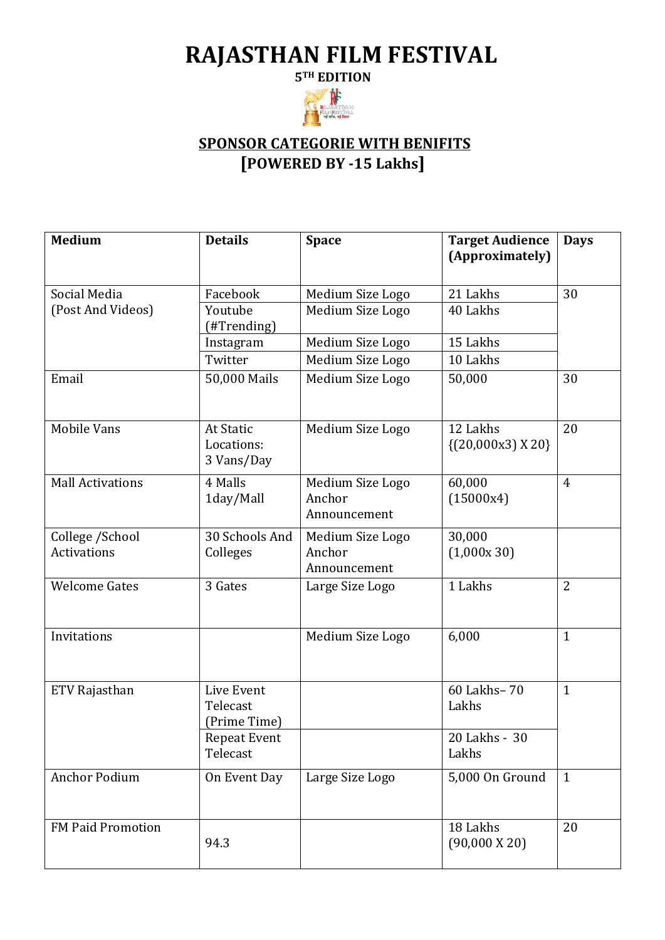## **RAJASTHAN FILM FESTIVAL**



## **SPONSOR CATEGORIE WITH BENIFITS [POWERED BY -15 Lakhs]**

| <b>Medium</b>                         | <b>Details</b>                         | <b>Space</b>                               | <b>Target Audience</b><br>(Approximately) | <b>Days</b>    |
|---------------------------------------|----------------------------------------|--------------------------------------------|-------------------------------------------|----------------|
| Social Media                          | Facebook                               | Medium Size Logo                           | 21 Lakhs                                  | 30             |
| (Post And Videos)                     | Youtube<br>(#Trending)                 | Medium Size Logo                           | 40 Lakhs                                  |                |
|                                       | Instagram                              | Medium Size Logo                           | 15 Lakhs                                  |                |
|                                       | Twitter                                | Medium Size Logo                           | 10 Lakhs                                  |                |
| Email                                 | 50,000 Mails                           | Medium Size Logo                           | 50,000                                    | 30             |
| <b>Mobile Vans</b>                    | At Static<br>Locations:<br>3 Vans/Day  | Medium Size Logo                           | 12 Lakhs<br>$\{(20,000x3)X20\}$           | 20             |
| <b>Mall Activations</b>               | 4 Malls<br>1day/Mall                   | Medium Size Logo<br>Anchor<br>Announcement | 60,000<br>(15000x4)                       | $\overline{4}$ |
| College /School<br><b>Activations</b> | 30 Schools And<br>Colleges             | Medium Size Logo<br>Anchor<br>Announcement | 30,000<br>(1,000x30)                      |                |
| <b>Welcome Gates</b>                  | 3 Gates                                | Large Size Logo                            | 1 Lakhs                                   | $\overline{2}$ |
| Invitations                           |                                        | Medium Size Logo                           | 6,000                                     | $\mathbf{1}$   |
| ETV Rajasthan                         | Live Event<br>Telecast<br>(Prime Time) |                                            | 60 Lakhs-70<br>Lakhs                      | $\mathbf{1}$   |
|                                       | <b>Repeat Event</b><br>Telecast        |                                            | 20 Lakhs - 30<br>Lakhs                    |                |
| <b>Anchor Podium</b>                  | On Event Day                           | Large Size Logo                            | 5,000 On Ground                           | $\mathbf{1}$   |
| <b>FM Paid Promotion</b>              | 94.3                                   |                                            | 18 Lakhs<br>$(90,000 \text{ X } 20)$      | 20             |